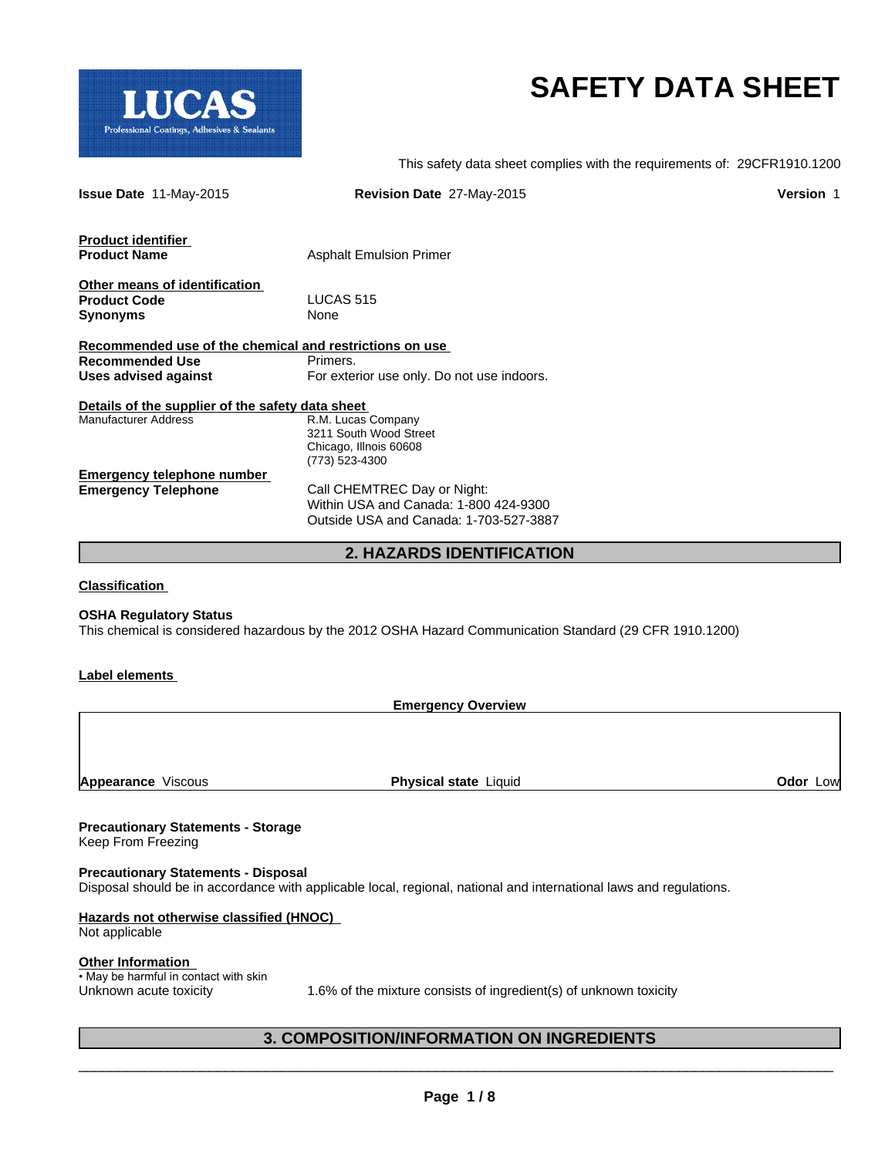

# **SAFETY DATA SHEET**

This safety data sheet complies with the requirements of: 29CFR1910.1200

| <b>Issue Date 11-May-2015</b>                           | Revision Date 27-May-2015                  | <b>Version 1</b> |
|---------------------------------------------------------|--------------------------------------------|------------------|
| Product identifier                                      |                                            |                  |
| <b>Product Name</b>                                     | <b>Asphalt Emulsion Primer</b>             |                  |
| Other means of identification                           |                                            |                  |
| <b>Product Code</b>                                     | LUCAS <sub>515</sub>                       |                  |
| Synonyms                                                | None                                       |                  |
| Recommended use of the chemical and restrictions on use |                                            |                  |
| Recommended Use                                         | Primers.                                   |                  |
| Uses advised against                                    | For exterior use only. Do not use indoors. |                  |
| Details of the supplier of the safety data sheet        |                                            |                  |
| Manufacturer Address                                    | R.M. Lucas Company                         |                  |
|                                                         | 3211 South Wood Street                     |                  |
|                                                         | Chicago, Illnois 60608                     |                  |
|                                                         | (773) 523-4300                             |                  |
| <b>Emergency telephone number</b>                       |                                            |                  |
| <b>Emergency Telephone</b>                              | Call CHEMTREC Day or Night:                |                  |
|                                                         | Within USA and Canada: 1-800 424-9300      |                  |
|                                                         | Outside USA and Canada: 1-703-527-3887     |                  |
|                                                         | <b>2. HAZARDS IDENTIFICATION</b>           |                  |

**Classification** 

### **OSHA Regulatory Status**

This chemical is considered hazardous by the 2012 OSHA Hazard Communication Standard (29 CFR 1910.1200)

### **Label elements**

**Emergency Overview**

**Appearance** Viscous **Physical state** Liquid **Odor** Low

## **Precautionary Statements - Storage**

Keep From Freezing

### **Precautionary Statements - Disposal**

Disposal should be in accordance with applicable local, regional, national and international laws and regulations.

## **Hazards not otherwise classified (HNOC)**

Not applicable

### **Other Information**

• May be harmful in contact with skin

Unknown acute toxicity 1.6% of the mixture consists of ingredient(s) of unknown toxicity

 $\overline{\phantom{a}}$  ,  $\overline{\phantom{a}}$  ,  $\overline{\phantom{a}}$  ,  $\overline{\phantom{a}}$  ,  $\overline{\phantom{a}}$  ,  $\overline{\phantom{a}}$  ,  $\overline{\phantom{a}}$  ,  $\overline{\phantom{a}}$  ,  $\overline{\phantom{a}}$  ,  $\overline{\phantom{a}}$  ,  $\overline{\phantom{a}}$  ,  $\overline{\phantom{a}}$  ,  $\overline{\phantom{a}}$  ,  $\overline{\phantom{a}}$  ,  $\overline{\phantom{a}}$  ,  $\overline{\phantom{a}}$ 

## **3. COMPOSITION/INFORMATION ON INGREDIENTS**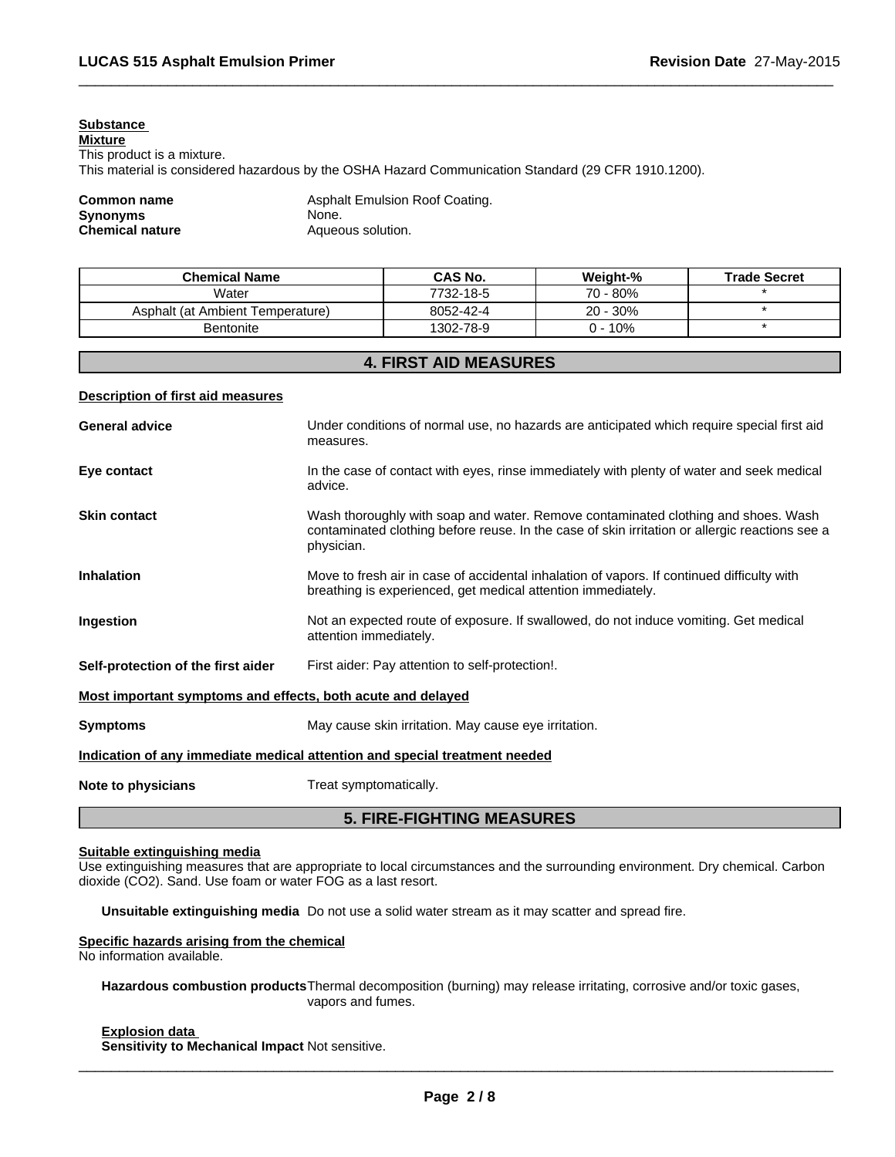## **Substance**

**Mixture** This product is a mixture. This material is considered hazardous by the OSHA Hazard Communication Standard (29 CFR 1910.1200).

## **Synonyms Chemical nature Aqueous solution.**

**Common name** Asphalt Emulsion Roof Coating.<br> **Synonyms** None.

| <b>Chemical Name</b>             | <b>CAS No.</b> | Weight-%    | <b>Trade Secret</b> |
|----------------------------------|----------------|-------------|---------------------|
| Water                            | 7732-18-5      | 70 - 80%    |                     |
| Asphalt (at Ambient Temperature) | 8052-42-4      | $20 - 30\%$ |                     |
| <b>Bentonite</b>                 | 1302-78-9      | ) - 10%     |                     |

 $\overline{\phantom{a}}$  ,  $\overline{\phantom{a}}$  ,  $\overline{\phantom{a}}$  ,  $\overline{\phantom{a}}$  ,  $\overline{\phantom{a}}$  ,  $\overline{\phantom{a}}$  ,  $\overline{\phantom{a}}$  ,  $\overline{\phantom{a}}$  ,  $\overline{\phantom{a}}$  ,  $\overline{\phantom{a}}$  ,  $\overline{\phantom{a}}$  ,  $\overline{\phantom{a}}$  ,  $\overline{\phantom{a}}$  ,  $\overline{\phantom{a}}$  ,  $\overline{\phantom{a}}$  ,  $\overline{\phantom{a}}$ 

## **4. FIRST AID MEASURES**

### **Description of first aid measures**

| <b>General advice</b>                                       | Under conditions of normal use, no hazards are anticipated which require special first aid<br>measures.                                                                                           |
|-------------------------------------------------------------|---------------------------------------------------------------------------------------------------------------------------------------------------------------------------------------------------|
| Eye contact                                                 | In the case of contact with eyes, rinse immediately with plenty of water and seek medical<br>advice.                                                                                              |
| <b>Skin contact</b>                                         | Wash thoroughly with soap and water. Remove contaminated clothing and shoes. Wash<br>contaminated clothing before reuse. In the case of skin irritation or allergic reactions see a<br>physician. |
| <b>Inhalation</b>                                           | Move to fresh air in case of accidental inhalation of vapors. If continued difficulty with<br>breathing is experienced, get medical attention immediately.                                        |
| Ingestion                                                   | Not an expected route of exposure. If swallowed, do not induce vomiting. Get medical<br>attention immediately.                                                                                    |
| Self-protection of the first aider                          | First aider: Pay attention to self-protection!.                                                                                                                                                   |
| Most important symptoms and effects, both acute and delayed |                                                                                                                                                                                                   |
| <b>Symptoms</b>                                             | May cause skin irritation. May cause eye irritation.                                                                                                                                              |
|                                                             | Indication of any immediate medical attention and special treatment needed                                                                                                                        |
| Note to physicians                                          | Treat symptomatically.                                                                                                                                                                            |

## **5. FIRE-FIGHTING MEASURES**

## **Suitable extinguishing media**

Use extinguishing measures that are appropriate to local circumstances and the surrounding environment. Dry chemical. Carbon dioxide (CO2). Sand. Use foam or water FOG as a last resort.

**Unsuitable extinguishing media** Do not use a solid water stream as it may scatter and spread fire.

### **Specific hazards arising from the chemical**

No information available.

**Hazardous combustion products**Thermal decomposition (burning) may release irritating, corrosive and/or toxic gases, vapors and fumes.

**Explosion data Sensitivity to Mechanical Impact** Not sensitive.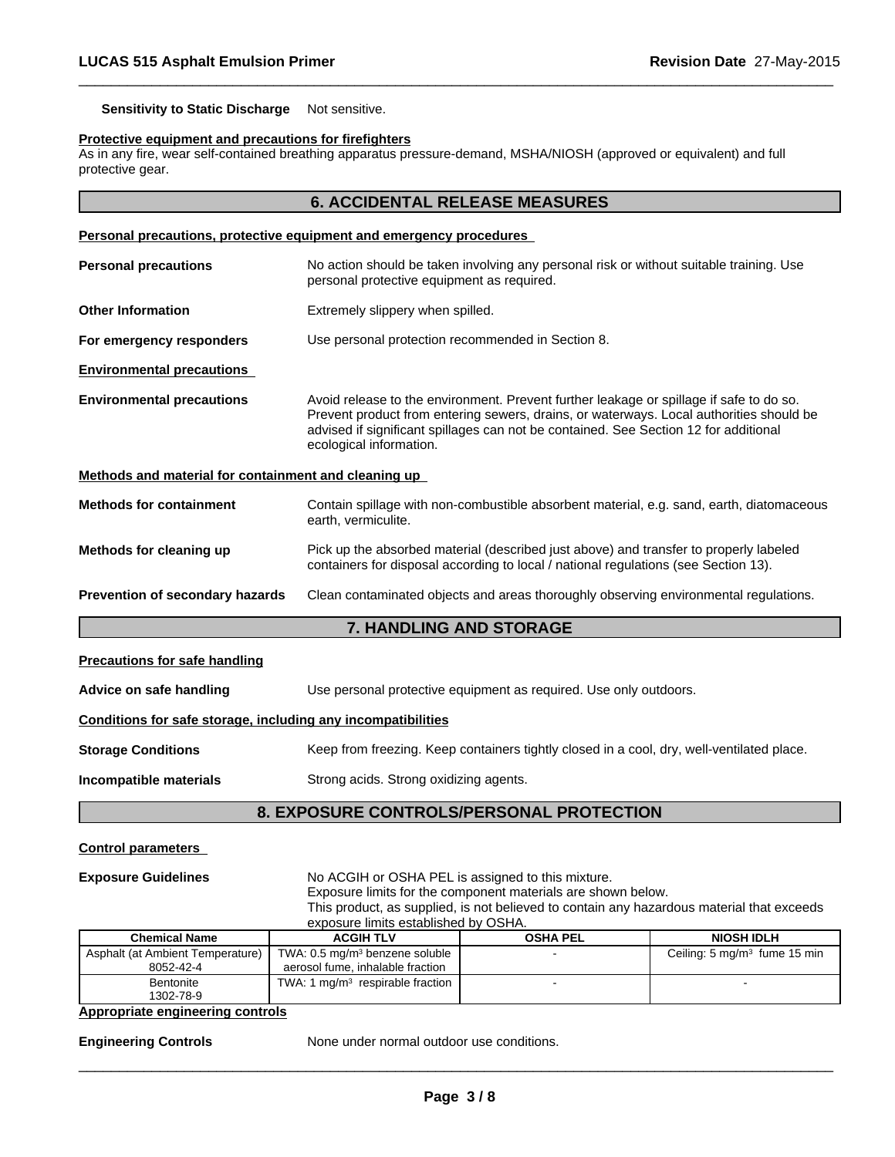**Sensitivity to Static Discharge** Not sensitive.

### **Protective equipment and precautions for firefighters**

As in any fire, wear self-contained breathing apparatus pressure-demand, MSHA/NIOSH (approved or equivalent) and full protective gear.

 $\overline{\phantom{a}}$  ,  $\overline{\phantom{a}}$  ,  $\overline{\phantom{a}}$  ,  $\overline{\phantom{a}}$  ,  $\overline{\phantom{a}}$  ,  $\overline{\phantom{a}}$  ,  $\overline{\phantom{a}}$  ,  $\overline{\phantom{a}}$  ,  $\overline{\phantom{a}}$  ,  $\overline{\phantom{a}}$  ,  $\overline{\phantom{a}}$  ,  $\overline{\phantom{a}}$  ,  $\overline{\phantom{a}}$  ,  $\overline{\phantom{a}}$  ,  $\overline{\phantom{a}}$  ,  $\overline{\phantom{a}}$ 

|                                                                                                                                                                      | Personal precautions, protective equipment and emergency procedures                                                                                                                                                                                                                                   |  |
|----------------------------------------------------------------------------------------------------------------------------------------------------------------------|-------------------------------------------------------------------------------------------------------------------------------------------------------------------------------------------------------------------------------------------------------------------------------------------------------|--|
| <b>Personal precautions</b><br>No action should be taken involving any personal risk or without suitable training. Use<br>personal protective equipment as required. |                                                                                                                                                                                                                                                                                                       |  |
| <b>Other Information</b>                                                                                                                                             | Extremely slippery when spilled.                                                                                                                                                                                                                                                                      |  |
| For emergency responders                                                                                                                                             | Use personal protection recommended in Section 8.                                                                                                                                                                                                                                                     |  |
| <b>Environmental precautions</b>                                                                                                                                     |                                                                                                                                                                                                                                                                                                       |  |
| <b>Environmental precautions</b>                                                                                                                                     | Avoid release to the environment. Prevent further leakage or spillage if safe to do so.<br>Prevent product from entering sewers, drains, or waterways. Local authorities should be<br>advised if significant spillages can not be contained. See Section 12 for additional<br>ecological information. |  |
| Methods and material for containment and cleaning up                                                                                                                 |                                                                                                                                                                                                                                                                                                       |  |
| <b>Methods for containment</b>                                                                                                                                       | Contain spillage with non-combustible absorbent material, e.g. sand, earth, diatomaceous<br>earth, vermiculite.                                                                                                                                                                                       |  |
| Methods for cleaning up                                                                                                                                              | Pick up the absorbed material (described just above) and transfer to properly labeled<br>containers for disposal according to local / national regulations (see Section 13).                                                                                                                          |  |
| Prevention of secondary hazards                                                                                                                                      | Clean contaminated objects and areas thoroughly observing environmental regulations.                                                                                                                                                                                                                  |  |
|                                                                                                                                                                      | 7. HANDLING AND STORAGE                                                                                                                                                                                                                                                                               |  |
| <b>Precautions for safe handling</b>                                                                                                                                 |                                                                                                                                                                                                                                                                                                       |  |
| Advice on safe handling                                                                                                                                              | Use personal protective equipment as required. Use only outdoors.                                                                                                                                                                                                                                     |  |
| Conditions for safe storage, including any incompatibilities                                                                                                         |                                                                                                                                                                                                                                                                                                       |  |
| <b>Storage Conditions</b>                                                                                                                                            | Keep from freezing. Keep containers tightly closed in a cool, dry, well-ventilated place.                                                                                                                                                                                                             |  |
| Incompatible materials                                                                                                                                               | Strong acids. Strong oxidizing agents.                                                                                                                                                                                                                                                                |  |
|                                                                                                                                                                      | <b>8. EXPOSURE CONTROLS/PERSONAL PROTECTION</b>                                                                                                                                                                                                                                                       |  |

### **Control parameters**

**Exposure Guidelines** No ACGIH or OSHA PEL is assigned to this mixture.

Exposure limits for the component materials are shown below.

| <b>NIOCH INLU</b><br>OCUA DEL<br>ACCIUTIV                                                 |  |  |  |  |
|-------------------------------------------------------------------------------------------|--|--|--|--|
| exposure limits established by OSHA.                                                      |  |  |  |  |
| This product, as supplied, is not believed to contain any hazardous material that exceeds |  |  |  |  |

 $\overline{\phantom{a}}$  ,  $\overline{\phantom{a}}$  ,  $\overline{\phantom{a}}$  ,  $\overline{\phantom{a}}$  ,  $\overline{\phantom{a}}$  ,  $\overline{\phantom{a}}$  ,  $\overline{\phantom{a}}$  ,  $\overline{\phantom{a}}$  ,  $\overline{\phantom{a}}$  ,  $\overline{\phantom{a}}$  ,  $\overline{\phantom{a}}$  ,  $\overline{\phantom{a}}$  ,  $\overline{\phantom{a}}$  ,  $\overline{\phantom{a}}$  ,  $\overline{\phantom{a}}$  ,  $\overline{\phantom{a}}$ 

| <b>Chemical Name</b>             | <b>ACGIH TLV</b>                           | OSHA PEL | <b>NIOSH IDLH</b>                       |
|----------------------------------|--------------------------------------------|----------|-----------------------------------------|
| Asphalt (at Ambient Temperature) | TWA: 0.5 mg/m <sup>3</sup> benzene soluble |          | Ceiling: $5 \text{ mg/m}^3$ fume 15 min |
| 8052-42-4                        | aerosol fume, inhalable fraction           |          |                                         |
| <b>Bentonite</b>                 | TWA: 1 $mq/m3$ respirable fraction         |          |                                         |
| 1302-78-9                        |                                            |          |                                         |

## **Appropriate engineering controls**

**Engineering Controls** None under normal outdoor use conditions.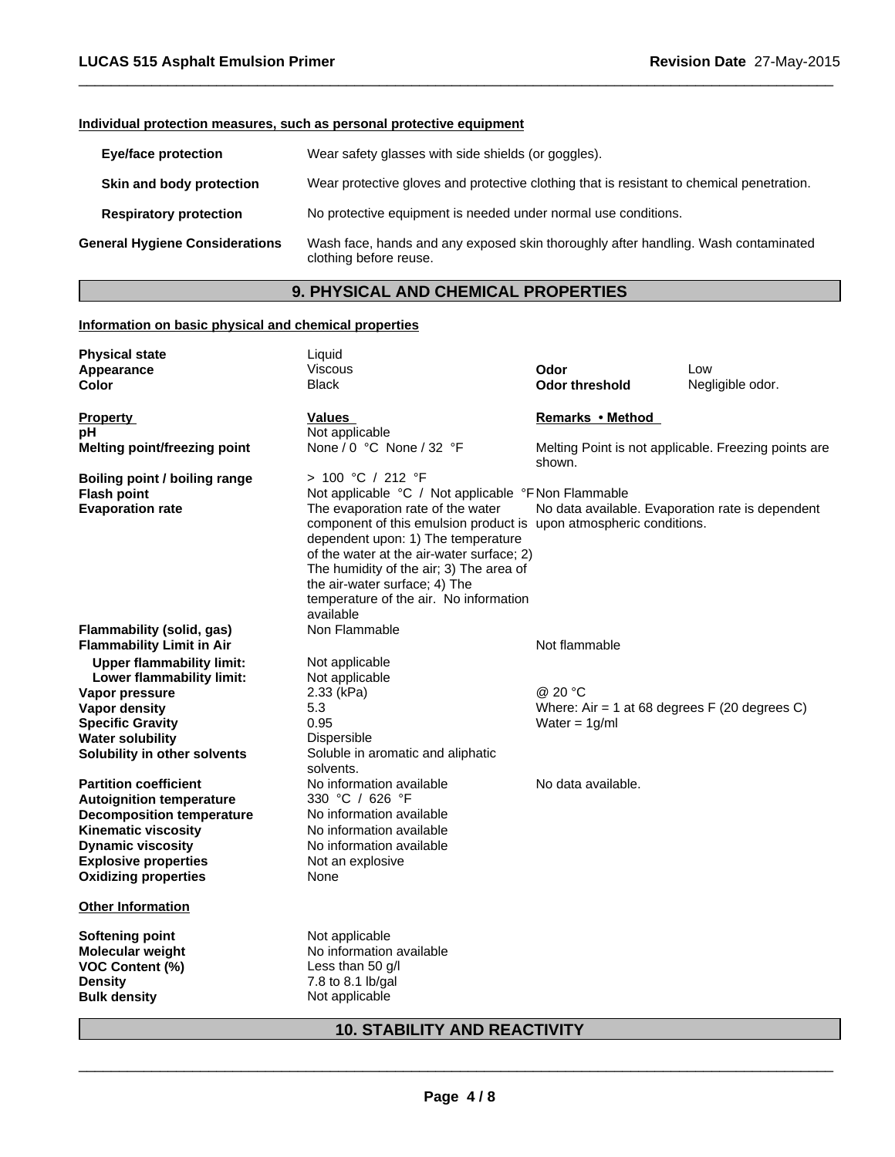## **Individual protection measures, such as personal protective equipment**

| <b>Eye/face protection</b>            | Wear safety glasses with side shields (or goggles).                                                          |  |
|---------------------------------------|--------------------------------------------------------------------------------------------------------------|--|
| Skin and body protection              | Wear protective gloves and protective clothing that is resistant to chemical penetration.                    |  |
| <b>Respiratory protection</b>         | No protective equipment is needed under normal use conditions.                                               |  |
| <b>General Hygiene Considerations</b> | Wash face, hands and any exposed skin thoroughly after handling. Wash contaminated<br>clothing before reuse. |  |

 $\overline{\phantom{a}}$  ,  $\overline{\phantom{a}}$  ,  $\overline{\phantom{a}}$  ,  $\overline{\phantom{a}}$  ,  $\overline{\phantom{a}}$  ,  $\overline{\phantom{a}}$  ,  $\overline{\phantom{a}}$  ,  $\overline{\phantom{a}}$  ,  $\overline{\phantom{a}}$  ,  $\overline{\phantom{a}}$  ,  $\overline{\phantom{a}}$  ,  $\overline{\phantom{a}}$  ,  $\overline{\phantom{a}}$  ,  $\overline{\phantom{a}}$  ,  $\overline{\phantom{a}}$  ,  $\overline{\phantom{a}}$ 

## **9. PHYSICAL AND CHEMICAL PROPERTIES**

## **Information on basic physical and chemical properties**

| <b>Physical state</b>               | Liquid                                                                                                                                                                                                                                                                                                                        |                       |                                                      |
|-------------------------------------|-------------------------------------------------------------------------------------------------------------------------------------------------------------------------------------------------------------------------------------------------------------------------------------------------------------------------------|-----------------------|------------------------------------------------------|
| Appearance                          | Viscous                                                                                                                                                                                                                                                                                                                       | Odor                  | Low                                                  |
| Color                               | <b>Black</b>                                                                                                                                                                                                                                                                                                                  | <b>Odor threshold</b> | Negligible odor.                                     |
| <b>Property</b>                     | Values                                                                                                                                                                                                                                                                                                                        | Remarks • Method      |                                                      |
| pН                                  | Not applicable                                                                                                                                                                                                                                                                                                                |                       |                                                      |
| <b>Melting point/freezing point</b> | None / 0 °C None / 32 °F                                                                                                                                                                                                                                                                                                      | shown.                | Melting Point is not applicable. Freezing points are |
| Boiling point / boiling range       | > 100 °C / 212 °F                                                                                                                                                                                                                                                                                                             |                       |                                                      |
| <b>Flash point</b>                  | Not applicable °C / Not applicable °F Non Flammable                                                                                                                                                                                                                                                                           |                       |                                                      |
| <b>Evaporation rate</b>             | The evaporation rate of the water<br>component of this emulsion product is upon atmospheric conditions.<br>dependent upon: 1) The temperature<br>of the water at the air-water surface; 2)<br>The humidity of the air; 3) The area of<br>the air-water surface; 4) The<br>temperature of the air. No information<br>available |                       | No data available. Evaporation rate is dependent     |
| Flammability (solid, gas)           | Non Flammable                                                                                                                                                                                                                                                                                                                 |                       |                                                      |
| <b>Flammability Limit in Air</b>    |                                                                                                                                                                                                                                                                                                                               | Not flammable         |                                                      |
| <b>Upper flammability limit:</b>    | Not applicable                                                                                                                                                                                                                                                                                                                |                       |                                                      |
| Lower flammability limit:           | Not applicable                                                                                                                                                                                                                                                                                                                |                       |                                                      |
| Vapor pressure                      | 2.33 (kPa)                                                                                                                                                                                                                                                                                                                    | @ 20 °C               |                                                      |
| Vapor density                       | 5.3                                                                                                                                                                                                                                                                                                                           |                       | Where: Air = 1 at 68 degrees $F(20$ degrees C)       |
| <b>Specific Gravity</b>             | 0.95                                                                                                                                                                                                                                                                                                                          | Water = $1q/ml$       |                                                      |
| <b>Water solubility</b>             | Dispersible                                                                                                                                                                                                                                                                                                                   |                       |                                                      |
| Solubility in other solvents        | Soluble in aromatic and aliphatic<br>solvents.                                                                                                                                                                                                                                                                                |                       |                                                      |
| <b>Partition coefficient</b>        | No information available                                                                                                                                                                                                                                                                                                      | No data available.    |                                                      |
| <b>Autoignition temperature</b>     | 330 °C / 626 °F                                                                                                                                                                                                                                                                                                               |                       |                                                      |
| <b>Decomposition temperature</b>    | No information available                                                                                                                                                                                                                                                                                                      |                       |                                                      |
| <b>Kinematic viscosity</b>          | No information available                                                                                                                                                                                                                                                                                                      |                       |                                                      |
| <b>Dynamic viscosity</b>            | No information available                                                                                                                                                                                                                                                                                                      |                       |                                                      |
| <b>Explosive properties</b>         | Not an explosive                                                                                                                                                                                                                                                                                                              |                       |                                                      |
| <b>Oxidizing properties</b>         | None                                                                                                                                                                                                                                                                                                                          |                       |                                                      |
| <b>Other Information</b>            |                                                                                                                                                                                                                                                                                                                               |                       |                                                      |
| <b>Softening point</b>              | Not applicable                                                                                                                                                                                                                                                                                                                |                       |                                                      |
| Molecular weight                    | No information available                                                                                                                                                                                                                                                                                                      |                       |                                                      |
| <b>VOC Content (%)</b>              | Less than 50 g/l                                                                                                                                                                                                                                                                                                              |                       |                                                      |
| <b>Density</b>                      | 7.8 to 8.1 lb/gal                                                                                                                                                                                                                                                                                                             |                       |                                                      |
|                                     |                                                                                                                                                                                                                                                                                                                               |                       |                                                      |

## **10. STABILITY AND REACTIVITY**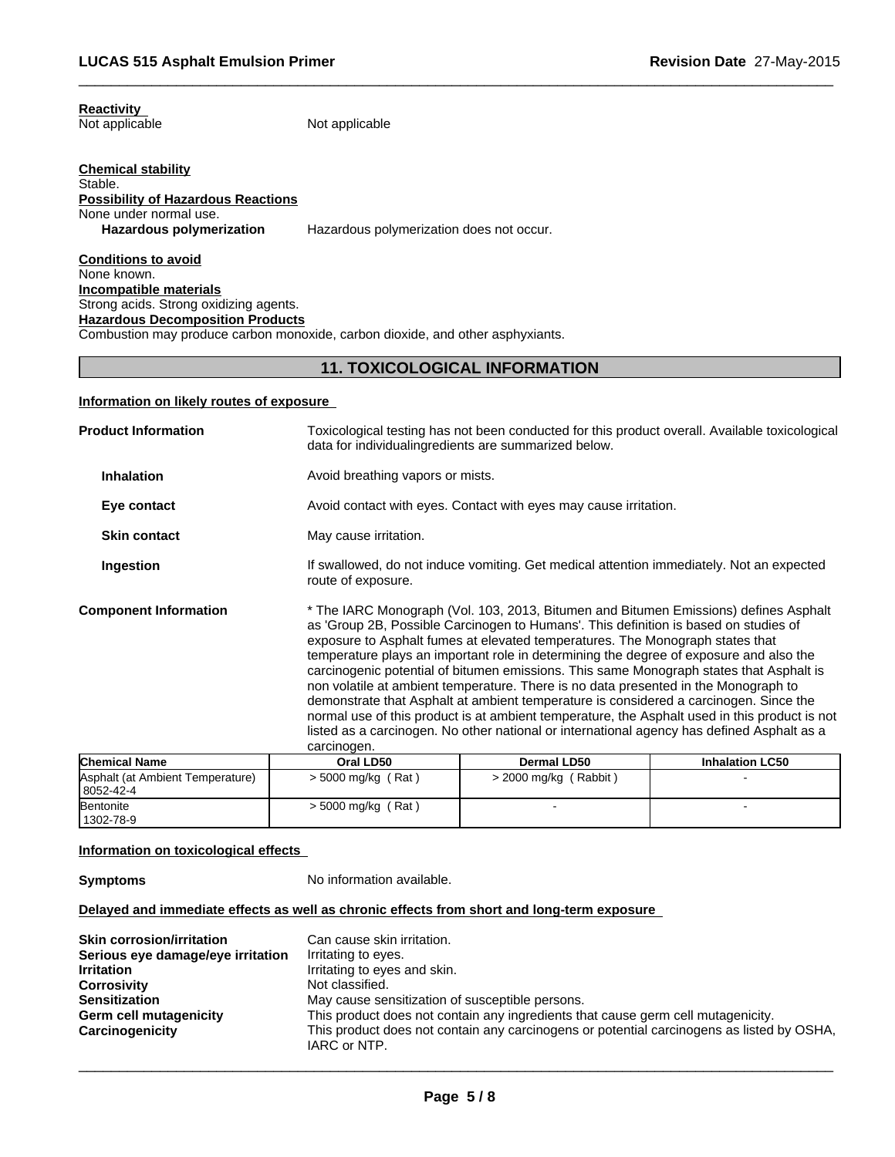### **Reactivity**  Not applicable

Not applicable

### **Chemical stability** Stable. **Possibility of Hazardous Reactions** None under normal use. **Hazardous polymerization** Hazardous polymerization does not occur.

**Conditions to avoid** None known. **Incompatible materials** Strong acids. Strong oxidizing agents. **Hazardous Decomposition Products** Combustion may produce carbon monoxide, carbon dioxide, and other asphyxiants.

## **11. TOXICOLOGICAL INFORMATION**

 $\overline{\phantom{a}}$  ,  $\overline{\phantom{a}}$  ,  $\overline{\phantom{a}}$  ,  $\overline{\phantom{a}}$  ,  $\overline{\phantom{a}}$  ,  $\overline{\phantom{a}}$  ,  $\overline{\phantom{a}}$  ,  $\overline{\phantom{a}}$  ,  $\overline{\phantom{a}}$  ,  $\overline{\phantom{a}}$  ,  $\overline{\phantom{a}}$  ,  $\overline{\phantom{a}}$  ,  $\overline{\phantom{a}}$  ,  $\overline{\phantom{a}}$  ,  $\overline{\phantom{a}}$  ,  $\overline{\phantom{a}}$ 

## **Information on likely routes of exposure**

| <b>Product Information</b>                                                                                                                                                                                                                                                                                                                                                                                                                                                                                                                                                                                                                                                                                                                                                                                                                                                       | Toxicological testing has not been conducted for this product overall. Available toxicological<br>data for individualing redients are summarized below. |  |  |
|----------------------------------------------------------------------------------------------------------------------------------------------------------------------------------------------------------------------------------------------------------------------------------------------------------------------------------------------------------------------------------------------------------------------------------------------------------------------------------------------------------------------------------------------------------------------------------------------------------------------------------------------------------------------------------------------------------------------------------------------------------------------------------------------------------------------------------------------------------------------------------|---------------------------------------------------------------------------------------------------------------------------------------------------------|--|--|
| <b>Inhalation</b>                                                                                                                                                                                                                                                                                                                                                                                                                                                                                                                                                                                                                                                                                                                                                                                                                                                                | Avoid breathing vapors or mists.                                                                                                                        |  |  |
| Eye contact                                                                                                                                                                                                                                                                                                                                                                                                                                                                                                                                                                                                                                                                                                                                                                                                                                                                      | Avoid contact with eyes. Contact with eyes may cause irritation.                                                                                        |  |  |
| <b>Skin contact</b>                                                                                                                                                                                                                                                                                                                                                                                                                                                                                                                                                                                                                                                                                                                                                                                                                                                              | May cause irritation.                                                                                                                                   |  |  |
| Ingestion                                                                                                                                                                                                                                                                                                                                                                                                                                                                                                                                                                                                                                                                                                                                                                                                                                                                        | If swallowed, do not induce vomiting. Get medical attention immediately. Not an expected<br>route of exposure.                                          |  |  |
| * The IARC Monograph (Vol. 103, 2013, Bitumen and Bitumen Emissions) defines Asphalt<br><b>Component Information</b><br>as 'Group 2B, Possible Carcinogen to Humans'. This definition is based on studies of<br>exposure to Asphalt fumes at elevated temperatures. The Monograph states that<br>temperature plays an important role in determining the degree of exposure and also the<br>carcinogenic potential of bitumen emissions. This same Monograph states that Asphalt is<br>non volatile at ambient temperature. There is no data presented in the Monograph to<br>demonstrate that Asphalt at ambient temperature is considered a carcinogen. Since the<br>normal use of this product is at ambient temperature, the Asphalt used in this product is not<br>listed as a carcinogen. No other national or international agency has defined Asphalt as a<br>carcinogen. |                                                                                                                                                         |  |  |
|                                                                                                                                                                                                                                                                                                                                                                                                                                                                                                                                                                                                                                                                                                                                                                                                                                                                                  |                                                                                                                                                         |  |  |

| <b>Chemical Name</b>             | Oral LD50            | Dermal LD50                 | <b>Inhalation LC50</b> |
|----------------------------------|----------------------|-----------------------------|------------------------|
| Asphalt (at Ambient Temperature) | $> 5000$ mg/kg (Rat) | Rabbit)<br>$> 2000$ mg/kg ( |                        |
| 8052-42-4                        |                      |                             |                        |
| Bentonite                        | $>$ 5000 mg/kg (Rat) |                             |                        |
| 1302-78-9                        |                      |                             |                        |

## **Information on toxicological effects**

**Symptoms** No information available.

## **Delayed and immediate effects as well as chronic effects from short and long-term exposure**

| <b>Skin corrosion/irritation</b>  | Can cause skin irritation.                                                                |
|-----------------------------------|-------------------------------------------------------------------------------------------|
| Serious eye damage/eye irritation | Irritating to eyes.                                                                       |
| <b>Irritation</b>                 | Irritating to eyes and skin.                                                              |
| <b>Corrosivity</b>                | Not classified.                                                                           |
| <b>Sensitization</b>              | May cause sensitization of susceptible persons.                                           |
| Germ cell mutagenicity            | This product does not contain any ingredients that cause germ cell mutagenicity.          |
| Carcinogenicity                   | This product does not contain any carcinogens or potential carcinogens as listed by OSHA, |
|                                   | IARC or NTP.                                                                              |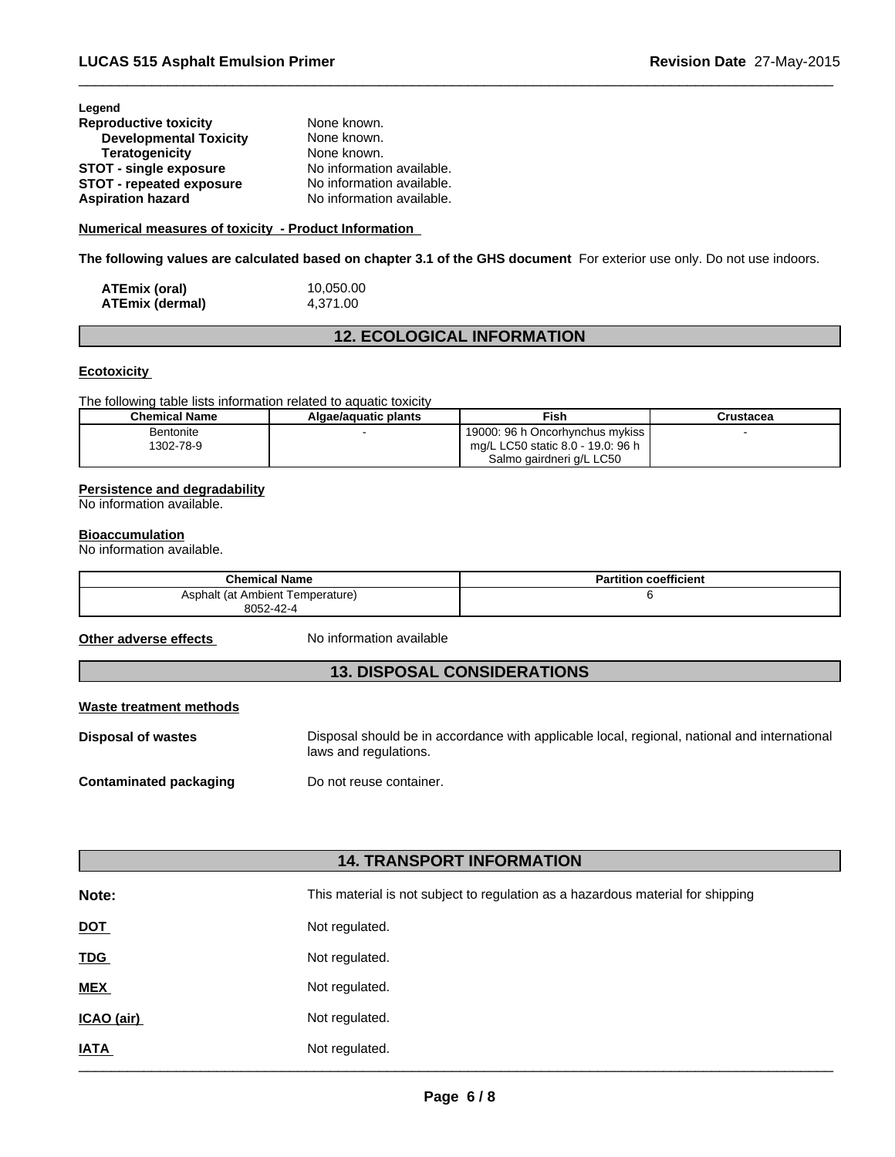| Legend                        |                           |
|-------------------------------|---------------------------|
| <b>Reproductive toxicity</b>  | None known.               |
| <b>Developmental Toxicity</b> | None known.               |
| Teratogenicity                | None known.               |
| <b>STOT - single exposure</b> | No information available. |
| STOT - repeated exposure      | No information available. |
| <b>Aspiration hazard</b>      | No information available. |

## **Numerical measures of toxicity - Product Information**

**The following values are calculated based on chapter 3.1 of the GHS document** For exterior use only. Do not use indoors.

 $\overline{\phantom{a}}$  ,  $\overline{\phantom{a}}$  ,  $\overline{\phantom{a}}$  ,  $\overline{\phantom{a}}$  ,  $\overline{\phantom{a}}$  ,  $\overline{\phantom{a}}$  ,  $\overline{\phantom{a}}$  ,  $\overline{\phantom{a}}$  ,  $\overline{\phantom{a}}$  ,  $\overline{\phantom{a}}$  ,  $\overline{\phantom{a}}$  ,  $\overline{\phantom{a}}$  ,  $\overline{\phantom{a}}$  ,  $\overline{\phantom{a}}$  ,  $\overline{\phantom{a}}$  ,  $\overline{\phantom{a}}$ 

| ATEmix (oral)          | 10,050.00 |
|------------------------|-----------|
| <b>ATEmix (dermal)</b> | 4,371.00  |

## **12. ECOLOGICAL INFORMATION**

## **Ecotoxicity**

The following table lists information related to aquatic toxicity

| <b>Chemical Name</b> | Algae/aquatic plants | Fish                              | Crustacea |
|----------------------|----------------------|-----------------------------------|-----------|
| <b>Bentonite</b>     |                      | 19000: 96 h Oncorhynchus mykiss   |           |
| 1302-78-9            |                      | mg/L LC50 static 8.0 - 19.0: 96 h |           |
|                      |                      | Salmo gairdneri g/L LC50          |           |

## **Persistence and degradability**

No information available.

## **Bioaccumulation**

No information available.

| <b>Chemical Name</b>             | <b>Partition coefficient</b> |
|----------------------------------|------------------------------|
| Asphalt (at Ambient Temperature) |                              |
| 8052-42-4                        |                              |

**Other adverse effects** No information available

## **13. DISPOSAL CONSIDERATIONS**

## **Waste treatment methods**

**Disposal of wastes** Disposal should be in accordance with applicable local, regional, national and international laws and regulations.

## **Contaminated packaging Theory Do not reuse container.**

## **14. TRANSPORT INFORMATION**

| Note:       | This material is not subject to regulation as a hazardous material for shipping |
|-------------|---------------------------------------------------------------------------------|
| <b>DOT</b>  | Not regulated.                                                                  |
| <b>TDG</b>  | Not regulated.                                                                  |
| <b>MEX</b>  | Not regulated.                                                                  |
| ICAO (air)  | Not regulated.                                                                  |
| <b>IATA</b> | Not regulated.                                                                  |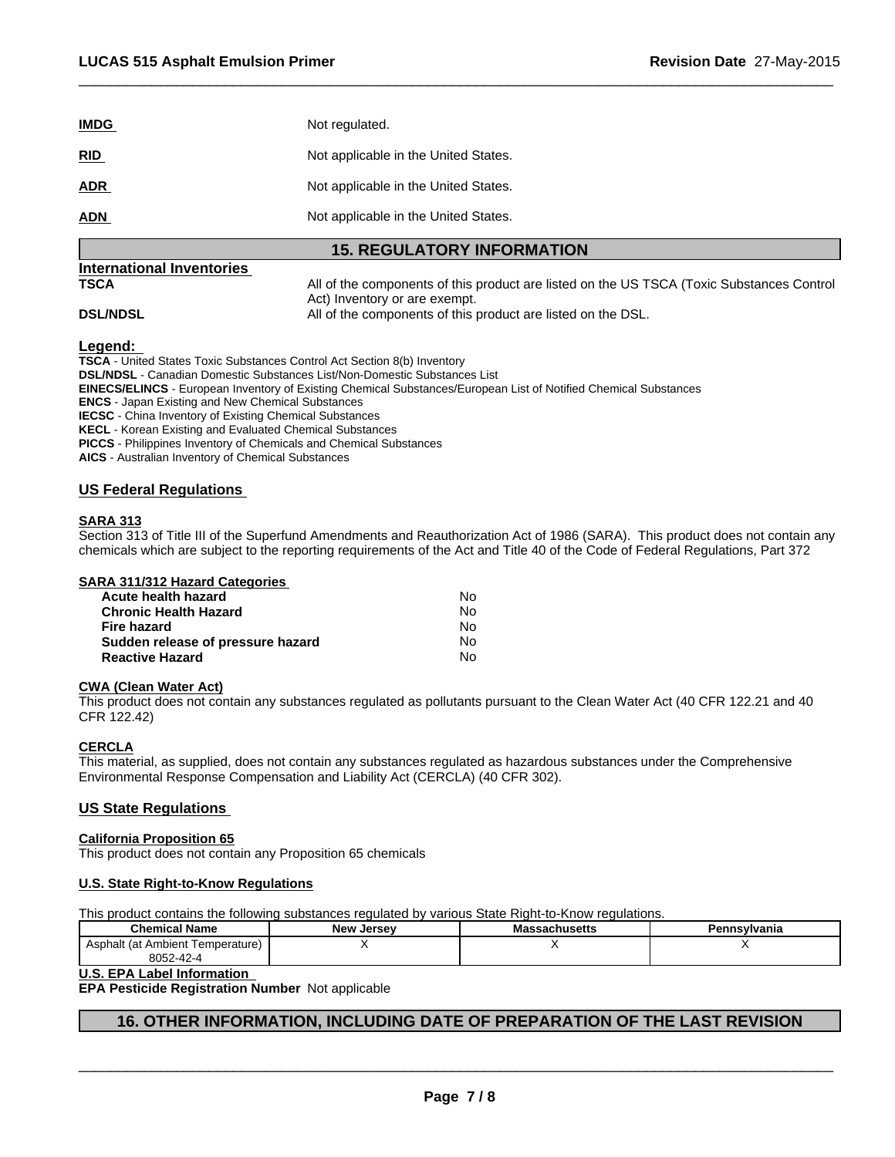| <b>IMDG</b> | Not regulated.                       |
|-------------|--------------------------------------|
| <b>RID</b>  | Not applicable in the United States. |
| <b>ADR</b>  | Not applicable in the United States. |
| <b>ADN</b>  | Not applicable in the United States. |

## **15. REGULATORY INFORMATION**

# **International Inventories**

**TSCA All of the components of this product are listed on the US TSCA (Toxic Substances Control** Act) Inventory or are exempt. **DSL/NDSL All of the components of this product are listed on the DSL.** 

 $\overline{\phantom{a}}$  ,  $\overline{\phantom{a}}$  ,  $\overline{\phantom{a}}$  ,  $\overline{\phantom{a}}$  ,  $\overline{\phantom{a}}$  ,  $\overline{\phantom{a}}$  ,  $\overline{\phantom{a}}$  ,  $\overline{\phantom{a}}$  ,  $\overline{\phantom{a}}$  ,  $\overline{\phantom{a}}$  ,  $\overline{\phantom{a}}$  ,  $\overline{\phantom{a}}$  ,  $\overline{\phantom{a}}$  ,  $\overline{\phantom{a}}$  ,  $\overline{\phantom{a}}$  ,  $\overline{\phantom{a}}$ 

## **Legend:**

**TSCA** - United States Toxic Substances Control Act Section 8(b) Inventory

**DSL/NDSL** - Canadian Domestic Substances List/Non-Domestic Substances List

**EINECS/ELINCS** - European Inventory of Existing Chemical Substances/European List of Notified Chemical Substances

**ENCS** - Japan Existing and New Chemical Substances

**IECSC** - China Inventory of Existing Chemical Substances

**KECL** - Korean Existing and Evaluated Chemical Substances

**PICCS** - Philippines Inventory of Chemicals and Chemical Substances

**AICS** - Australian Inventory of Chemical Substances

## **US Federal Regulations**

## **SARA 313**

Section 313 of Title III of the Superfund Amendments and Reauthorization Act of 1986 (SARA). This product does not contain any chemicals which are subject to the reporting requirements of the Act and Title 40 of the Code of Federal Regulations, Part 372

| <b>SARA 311/312 Hazard Categories</b> |
|---------------------------------------|
|---------------------------------------|

| Acute health hazard               | No. |  |
|-----------------------------------|-----|--|
| Chronic Health Hazard             | No. |  |
| Fire hazard                       | N٥  |  |
| Sudden release of pressure hazard | No. |  |
| <b>Reactive Hazard</b>            | No. |  |

### **CWA (Clean Water Act)**

This product does not contain any substances regulated as pollutants pursuant to the Clean Water Act (40 CFR 122.21 and 40 CFR 122.42)

## **CERCLA**

This material, as supplied, does not contain any substances regulated as hazardous substances under the Comprehensive Environmental Response Compensation and Liability Act (CERCLA) (40 CFR 302).

## **US State Regulations**

### **California Proposition 65**

This product does not contain any Proposition 65 chemicals

## **U.S. State Right-to-Know Regulations**

This product contains the following substances regulated by various State Right-to-Know regulations.

| <b>Chemical Name</b>                             | New<br>Jersev | Massachuseus | `nsylvania |  |
|--------------------------------------------------|---------------|--------------|------------|--|
| emperature)<br>Ambient<br>ا ۱۵۰<br>۔ ۱۰ م<br>Acr |               |              |            |  |
| 9052<br>$\overline{ }$<br>oupz-4<br>.            |               |              |            |  |

### **U.S. EPA Label Information**

**EPA Pesticide Registration Number** Not applicable

## **16. OTHER INFORMATION, INCLUDING DATE OF PREPARATION OF THE LAST REVISION**